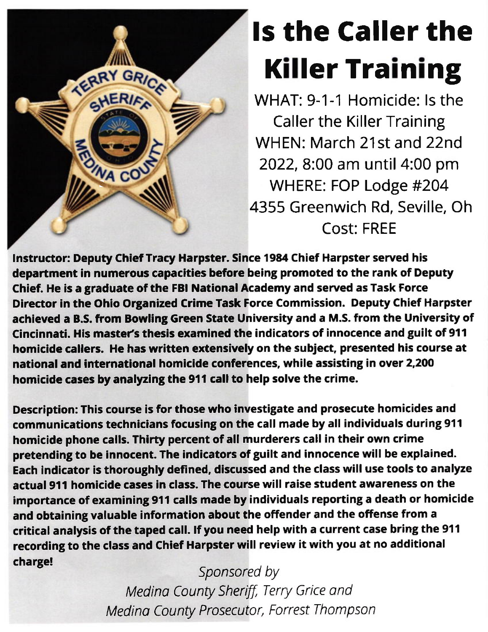

## ls the Caller the **Killer Training**

WHAT: 9-1-1 Homicide: ls the Caller the Killer Training WHEN: March 21st and 22nd 2022,8:00 am until 4:00 pm WHERE: FOP Lodge #204 4355 Greenwich Rd, Seville, Oh Cost: FREE

lnstructor: Deputy ChiefTracy Harpster. Slnce 1984 Chief Harpster served his department in numerous capacities before being promoted to the rank of Deputy Chief. He is a graduate of the FBI National Academy and served as Task Force Director in the Ohio Organized Crime Task Force Commission. Deputy Chief Harpster achieved a B.S. from Bowling Green State University and a M.S. from the University of Cincinnati. His master's thesis examined the indicators of innocence and guilt of 911 homicide callers. He has written extensively on the subject, presented his course at national and international homicide conferences, while assisting in over 2,200 homicide cases by analyzing the 911 call to help solve the crime.

Description: This course is for those who investigate and prosecute homicides and communications technicians focusing on the call made by all individuals during 911 homicide phone calls. Thirty percent of all murderers call in their own crime pretending to be innocent. The indicators of guilt and innocence will be explained. Each indicator is thoroughly defined, discussed and the class will use tools to analyze actual 911 homicide cases in class. The course will raise student awareness on the importance of examining 911 calls made by individuals reporting a death or homicide and obtaining valuable information about the offender and the offense from a critical analysis of the taped call. If you need help with a current case bring the 911 recording to the class and Chief Harpster will review it with you at no additional charge!

Sponsored by Medino County Sheriff, Terry Grice and Medino County Prosecutor, Forrest Thompson